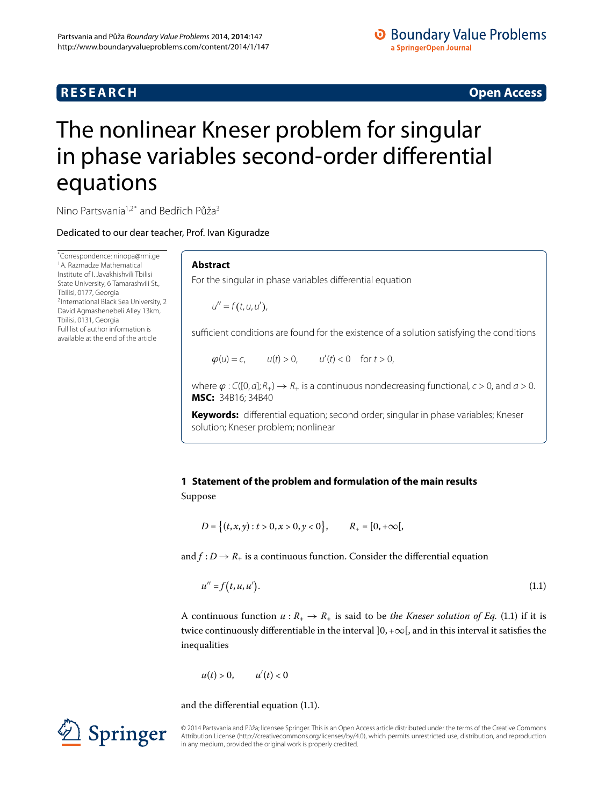# **RESEARCH CONSTRUCTER ACCESS**

# **O** Boundary Value Problems a SpringerOpen Journal

# <span id="page-0-0"></span>The nonlinear Kneser problem for singular in phase variables second-order differential equations

Nino Partsvania<sup>[1](#page-15-0)[,2](#page-15-1)[\\*](#page-0-0)</sup> and Bedřich Půža<sup>[3](#page-15-2)</sup>

Dedicated to our dear teacher, Prof. Ivan Kiguradze

\* Correspondence: [ninopa@rmi.ge](mailto:ninopa@rmi.ge) [1](#page-15-0)A. Razmadze Mathematical Institute of I. Javakhishvili Tbilisi State University, 6 Tamarashvili St., [T](#page-15-1)bilisi, 0177, Georgia 2International Black Sea University, 2 David Agmashenebeli Alley 13km, Tbilisi, 0131, Georgia Full list of author information is available at the end of the article

# **Abstract**

For the singular in phase variables differential equation

 $u'' = f(t, u, u'),$ 

sufficient conditions are found for the existence of a solution satisfying the conditions

 $\varphi(u) = c,$   $u(t) > 0,$   $u'(t) < 0$  for  $t > 0,$ 

where  $\varphi$ : C([0, a];  $R_+$ )  $\rightarrow$   $R_+$  is a continuous nondecreasing functional,  $c > 0$ , and  $a > 0$ . **MSC:** 34B16; 34B40

**Keywords:** differential equation; second order; singular in phase variables; Kneser solution; Kneser problem; nonlinear

# **1 Statement of the problem and formulation of the main results**

Suppose

<span id="page-0-1"></span>
$$
D = \big\{ (t, x, y) : t > 0, x > 0, y < 0 \big\}, \qquad R_+ = [0, +\infty[,
$$

and  $f: D \to R_+$  is a continuous function. Consider the differential equation

$$
u'' = f(t, u, u'). \tag{1.1}
$$

A continuous function  $u : R_+ \to R_+$  is said to be *the Kneser solution of Eq.* (1.1) if it is twice continuously differentiable in the interval  $]0, +\infty[$ , and in this interval it satisfies the inequalities

$$
u(t) > 0, \qquad u'(t) < 0
$$

and the differential equation  $(1.1)$ .



© 2014 Partsvania and P˚uža; licensee Springer. This is an Open Access article distributed under the terms of the Creative Commons Attribution License (http://creativecommons.org/licenses/by/4.0), which permits unrestricted use, distribution, and reproduction in any medium, provided the original work is properly credited.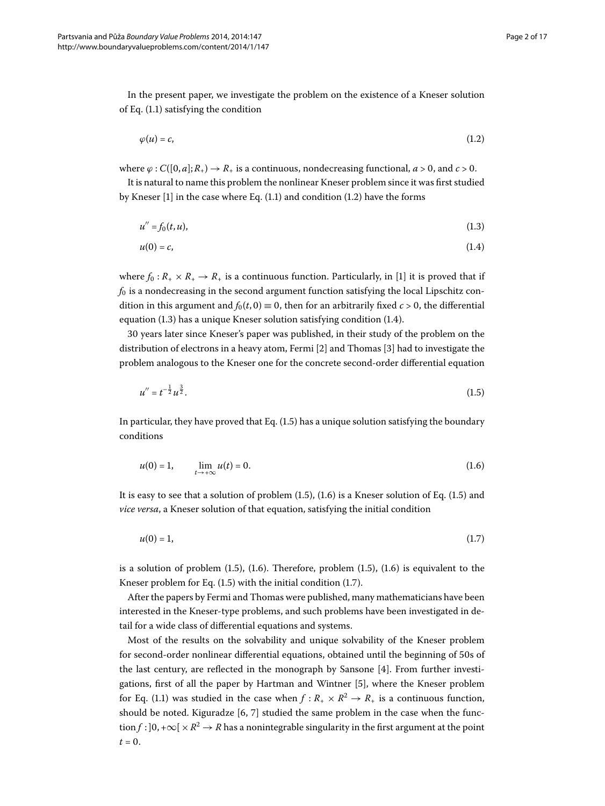In the present paper, we investigate the problem on the existence of a Kneser solution of Eq.  $(1.1)$  satisfying the condition

<span id="page-1-2"></span><span id="page-1-1"></span><span id="page-1-0"></span>
$$
\varphi(u) = c,\tag{1.2}
$$

where  $\varphi$ :  $C([0, a]; R_+) \to R_+$  is a continuous, nondecreasing functional,  $a > 0$ , and  $c > 0$ .

It is natural to name this problem the nonlinear Kneser problem since it was first studied by Kneser  $[1]$  $[1]$  in the case where Eq[.](#page-0-1)  $(1.1)$  and condition  $(1.2)$  have the forms

$$
u'' = f_0(t, u), \tag{1.3}
$$

<span id="page-1-3"></span>
$$
u(0) = c,\tag{1.4}
$$

where  $f_0: R_+ \times R_+ \to R_+$  is a continuous function. Particularly, in [1[\]](#page-15-3) it is proved that if  $f_0$  is a nondecreasing in the second argument function satisfying the local Lipschitz condition in this argument and  $f_0(t, 0) \equiv 0$ , then for an arbitrarily fixed  $c > 0$ , the differential equation  $(1.3)$  $(1.3)$  $(1.3)$  has a unique Kneser solution satisfying condition  $(1.4)$ .

30 years later since Kneser's paper was published, in their study of the problem on the distribution of electrons in a heavy atom, Fermi  $[2]$  $[2]$  $[2]$  and Thomas  $[3]$  had to investigate the problem analogous to the Kneser one for the concrete second-order differential equation

<span id="page-1-4"></span>
$$
u'' = t^{-\frac{1}{2}} u^{\frac{3}{2}}.
$$
\n(1.5)

In particular, they have proved that Eq.  $(1.5)$  has a unique solution satisfying the boundary conditions

<span id="page-1-5"></span>
$$
u(0) = 1, \qquad \lim_{t \to +\infty} u(t) = 0. \tag{1.6}
$$

It is easy to see that a solution of problem  $(1.5)$ ,  $(1.6)$  is a Kneser solution of Eq.  $(1.5)$  and *vice versa*, a Kneser solution of that equation, satisfying the initial condition

$$
u(0) = 1,\tag{1.7}
$$

is a solution of problem  $(1.5)$  $(1.5)$  $(1.5)$ ,  $(1.6)$ . Therefore, problem  $(1.5)$ ,  $(1.6)$  is equivalent to the Kneser problem for Eq.  $(1.5)$  with the initial condition  $(1.7)$ .

After the papers by Fermi and Thomas were published, many mathematicians have been interested in the Kneser-type problems, and such problems have been investigated in detail for a wide class of differential equations and systems.

Most of the results on the solvability and unique solvability of the Kneser problem for second-order nonlinear differential equations, obtained until the beginning of 50s of the last century, are reflected in the monograph by Sansone [\[](#page-15-6)4]. From further investigations, first of all the paper by Hartman and Wintner [5], where the Kneser problem for Eq. (1.1) was studied in the case when  $f : R_+ \times R^2 \to R_+$  is a continuous function, should be noted. Kiguradze  $[6, 7]$  studied the same problem in the case when the function  $f: ]0, +\infty[ \times \mathbb{R}^2 \to \mathbb{R}$  has a nonintegrable singularity in the first argument at the point  $t = 0$ .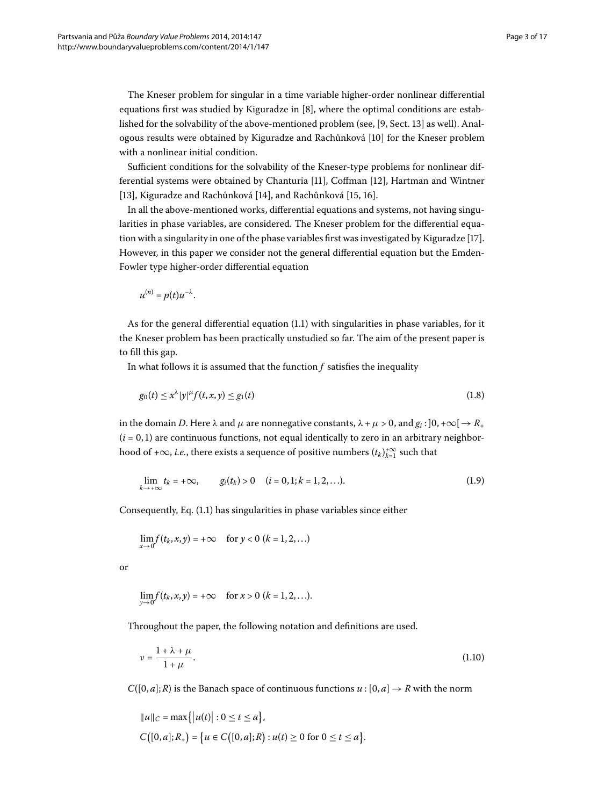The Kneser problem for singular in a time variable higher-order nonlinear differential equations first was studied by Kiguradze in  $[8]$  $[8]$ , where the optimal conditions are established for the solvability of the above-mentioned problem (see, [9, Sect. 13] as well). Anal-ogous results were obtained by Kiguradze and Rachůnková [\[](#page-16-3)10] for the Kneser problem with a nonlinear initial condition.

Sufficient conditions for the solvability of the Kneser-type problems for nonlinear dif-ferential systems were obtained by Chanturia [11[\]](#page-16-5), Coffman [12], Hartman and Wintner [13[\]](#page-16-9), Kiguradze and Rachůnková [\[](#page-16-8)14], and Rachůnková [15, 16].

In all the above-mentioned works, differential equations and systems, not having singularities in phase variables, are considered. The Kneser problem for the differential equa-tion with a singularity in one of the phase variables first was investigated by Kiguradze [17[\]](#page-16-10). However, in this paper we consider not the general differential equation but the Emden-Fowler type higher-order differential equation

<span id="page-2-0"></span> $u^{(n)} = p(t)u^{-\lambda}$ .

As for the general differential equation  $(1.1)$  $(1.1)$  $(1.1)$  with singularities in phase variables, for it the Kneser problem has been practically unstudied so far. The aim of the present paper is to fill this gap.

In what follows it is assumed that the function *f* satisfies the inequality

<span id="page-2-1"></span>
$$
g_0(t) \le x^{\lambda} |y|^{\mu} f(t, x, y) \le g_1(t) \tag{1.8}
$$

in the domain *D*. Here  $\lambda$  and  $\mu$  are nonnegative constants,  $\lambda + \mu > 0$ , and  $g_i : ]0, +\infty[ \rightarrow R_+ ]$  $(i = 0, 1)$  are continuous functions, not equal identically to zero in an arbitrary neighborhood of + $\infty$ , *i.e.*, there exists a sequence of positive numbers  $(t_k)_{k=1}^{+\infty}$  such that

$$
\lim_{k \to +\infty} t_k = +\infty, \qquad g_i(t_k) > 0 \quad (i = 0, 1; k = 1, 2, \ldots). \tag{1.9}
$$

Consequently, Eq. (1.1) has singularities in phase variables since either

<span id="page-2-2"></span>
$$
\lim_{x \to 0} f(t_k, x, y) = +\infty \quad \text{ for } y < 0 \ (k = 1, 2, \ldots)
$$

or

$$
\lim_{y\to 0} f(t_k, x, y) = +\infty \quad \text{ for } x > 0 \ (k = 1, 2, \ldots).
$$

Throughout the paper, the following notation and definitions are used.

$$
\nu = \frac{1 + \lambda + \mu}{1 + \mu}.\tag{1.10}
$$

 $C([0, a]; R)$  is the Banach space of continuous functions  $u : [0, a] \rightarrow R$  with the norm

$$
||u||_C = \max\{|u(t)| : 0 \le t \le a\},
$$
  

$$
C([0, a]; R_+) = \{u \in C([0, a]; R) : u(t) \ge 0 \text{ for } 0 \le t \le a\}.
$$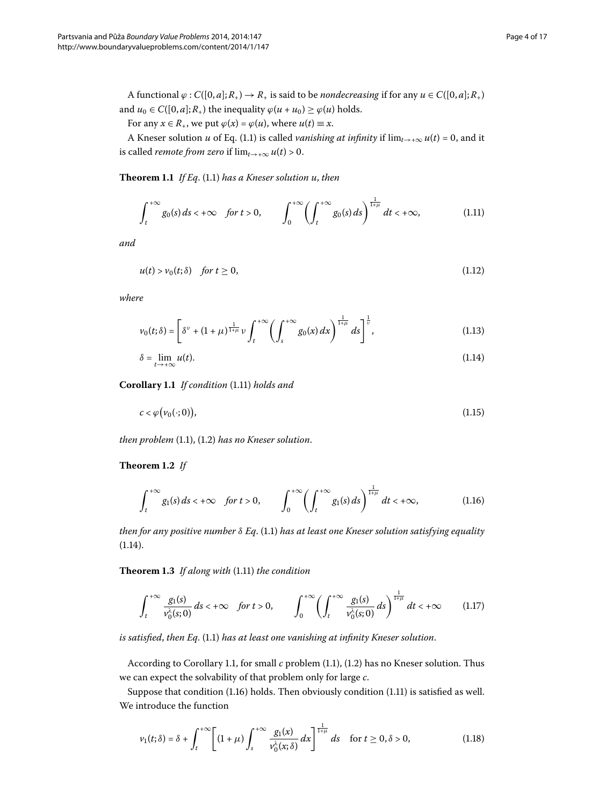<span id="page-3-4"></span>A functional  $\varphi$  :  $C([0, a]; R_+) \to R_+$  is said to be *nondecreasing* if for any  $u \in C([0, a]; R_+)$ and  $u_0 \in C([0, a]; R_+)$  the inequality  $\varphi(u + u_0) \ge \varphi(u)$  holds.

For any  $x \in R_+$ , we put  $\varphi(x) = \varphi(u)$ , where  $u(t) \equiv x$ .

A Kneser solution *u* of Eq. (1.1) is called *vanishing at infinity* if  $\lim_{t\to+\infty} u(t) = 0$ , and it is called *remote from zero* if  $\lim_{t\to+\infty} u(t) > 0$ .

**Theorem 1[.](#page-0-1)1** If Eq. (1.1) has a Kneser solution u, then

<span id="page-3-6"></span><span id="page-3-0"></span>
$$
\int_{t}^{+\infty} g_0(s) ds < +\infty \quad \text{for } t > 0, \qquad \int_{0}^{+\infty} \left( \int_{t}^{+\infty} g_0(s) ds \right)^{\frac{1}{1+\mu}} dt < +\infty, \tag{1.11}
$$

*and*

<span id="page-3-7"></span><span id="page-3-1"></span>
$$
u(t) > v_0(t; \delta) \quad \text{for } t \ge 0,
$$
\n
$$
(1.12)
$$

<span id="page-3-2"></span>*where*

<span id="page-3-8"></span>
$$
\nu_0(t;\delta) = \left[\delta^{\nu} + (1+\mu)^{\frac{1}{1+\mu}} \nu \int_t^{+\infty} \left(\int_s^{+\infty} g_0(x) \, dx\right)^{\frac{1}{1+\mu}} ds\right]^\frac{1}{\nu},\tag{1.13}
$$

$$
\delta = \lim_{t \to +\infty} u(t). \tag{1.14}
$$

<span id="page-3-5"></span>**Corollary 1[.](#page-3-0)1** If condition (1.11) holds and

<span id="page-3-3"></span>
$$
c < \varphi(\nu_0(\cdot; 0)), \tag{1.15}
$$

*then problem* (1[.](#page-1-0)1), (1.2) has no Kneser solution.

## <span id="page-3-9"></span>**Theorem 1.2** If

<span id="page-3-10"></span>
$$
\int_{t}^{+\infty} g_1(s) ds < +\infty \quad \text{for } t > 0, \qquad \int_{0}^{+\infty} \left( \int_{t}^{+\infty} g_1(s) ds \right)^{\frac{1}{1+\mu}} dt < +\infty,
$$
 (1.16)

*then for any positive number*  $δ$  *Eq[.](#page-0-1)* (1.1) *has at least one Kneser solution satisfying equality*  $(1.14).$  $(1.14).$  $(1.14).$ 

Theorem 1[.](#page-3-0)3 If along with (1.11) the condition

<span id="page-3-11"></span>
$$
\int_{t}^{+\infty} \frac{g_{1}(s)}{v_{0}^{\lambda}(s;0)} ds < +\infty \quad \text{for } t > 0, \qquad \int_{0}^{+\infty} \left( \int_{t}^{+\infty} \frac{g_{1}(s)}{v_{0}^{\lambda}(s;0)} ds \right)^{\frac{1}{1+\mu}} dt < +\infty \tag{1.17}
$$

*is satisfied, then Eq.* (1.1) has at least one vanishing at infinity Kneser solution.

According to Corollary 1[.](#page-0-1)1, for small *c* problem (1.1), (1.2) has no Kneser solution. Thus we can expect the solvability of that problem only for large *c*.

Suppose that condition  $(1.16)$  $(1.16)$  $(1.16)$  holds. Then obviously condition  $(1.11)$  is satisfied as well. We introduce the function

$$
\nu_1(t;\delta) = \delta + \int_t^{+\infty} \left[ (1+\mu) \int_s^{+\infty} \frac{g_1(x)}{\nu_0^{\lambda}(x;\delta)} dx \right]^{\frac{1}{1+\mu}} ds \quad \text{for } t \ge 0, \delta > 0,
$$
 (1.18)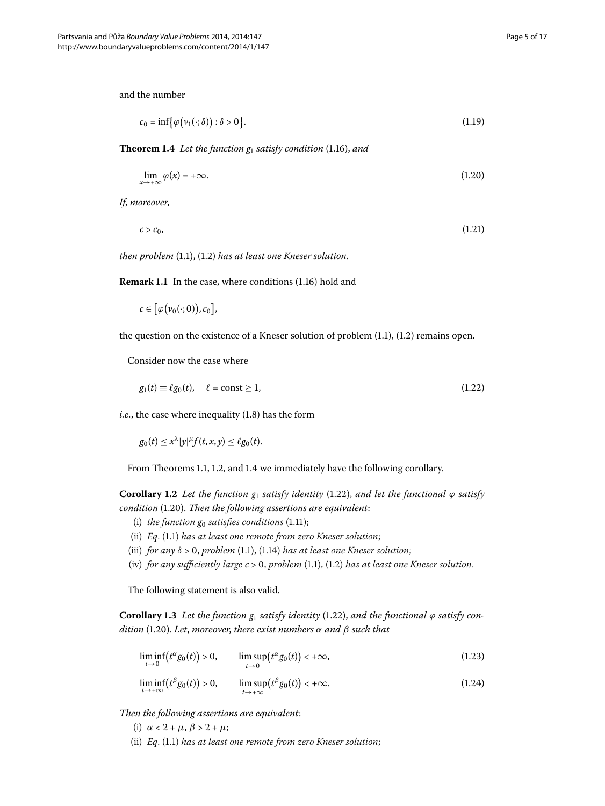<span id="page-4-0"></span>and the number

<span id="page-4-5"></span><span id="page-4-4"></span><span id="page-4-2"></span>
$$
c_0 = \inf \{ \varphi(\nu_1(\cdot;\delta)) : \delta > 0 \}.
$$
\n(1.19)

**Theorem 1.4** Let the function  $g_1$  satisfy condition (1.16), and

$$
\lim_{x \to +\infty} \varphi(x) = +\infty. \tag{1.20}
$$

*If*, *moreover*,

$$
c > c_0,\tag{1.21}
$$

*then problem* (1[.](#page-1-0)1), (1.2) has at least one Kneser solution.

**Remark 1.1** In the case, where conditions (1.16) hold and

<span id="page-4-1"></span> $c \in [\varphi(\nu_0(\cdot; 0)), c_0],$ 

the question on the existence of a Kneser solution of problem  $(1.1)$  $(1.1)$  $(1.1)$ ,  $(1.2)$  remains open.

Consider now the case where

$$
g_1(t) \equiv \ell g_0(t), \quad \ell = \text{const} \ge 1,\tag{1.22}
$$

 $i.e.,$  $i.e.,$  $i.e.,$  the case where inequality  $(1.8)$  has the form

 $g_0(t) \leq x^{\lambda} |y|^{\mu} f(t, x, y) \leq \ell g_0(t).$ 

From Theorems 1[.](#page-4-0)1, 1.2, and 1.4 we immediately have the following corollary.

**Corollary 1[.](#page-4-1)2** Let the function  $g_1$  satisfy identity (1.22), and let the functional  $\varphi$  satisfy *condition* (1.20). Then the following assertions are equivalent:

- <span id="page-4-3"></span>(i) *the function*  $g_0$  *satisfies conditions* (1.11);
- <span id="page-4-6"></span>(ii) *Eq[.](#page-0-1)* (1.1) has at least one remote from zero Kneser solution;
- (iii) *for any*  $\delta > 0$ , *problem* (1[.](#page-3-1)1), (1.14) *has at least one Kneser solution*;
- (iv) *for any sufficiently large*  $c > 0$ , *problem* (1.1), (1.2) *has at least one Kneser solution*.

The following statement is also valid.

**Corollary 1[.](#page-4-1)3** Let the function  $g_1$  satisfy identity (1.22), and the functional  $\varphi$  satisfy con $dition$  (1.20). Let, moreover, there exist numbers  $\alpha$  and  $\beta$  such that

<span id="page-4-7"></span>
$$
\liminf_{t \to 0} \left( t^{\alpha} g_0(t) \right) > 0, \qquad \limsup_{t \to 0} \left( t^{\alpha} g_0(t) \right) < +\infty, \tag{1.23}
$$

$$
\liminf_{t \to +\infty} (t^{\beta} g_0(t)) > 0, \qquad \limsup_{t \to +\infty} (t^{\beta} g_0(t)) < +\infty. \tag{1.24}
$$

*Then the following assertions are equivalent*:

- (i)  $\alpha < 2 + \mu$ ,  $\beta > 2 + \mu$ ;
- (ii) *Eq[.](#page-0-1)* (1.1) has at least one remote from zero Kneser solution;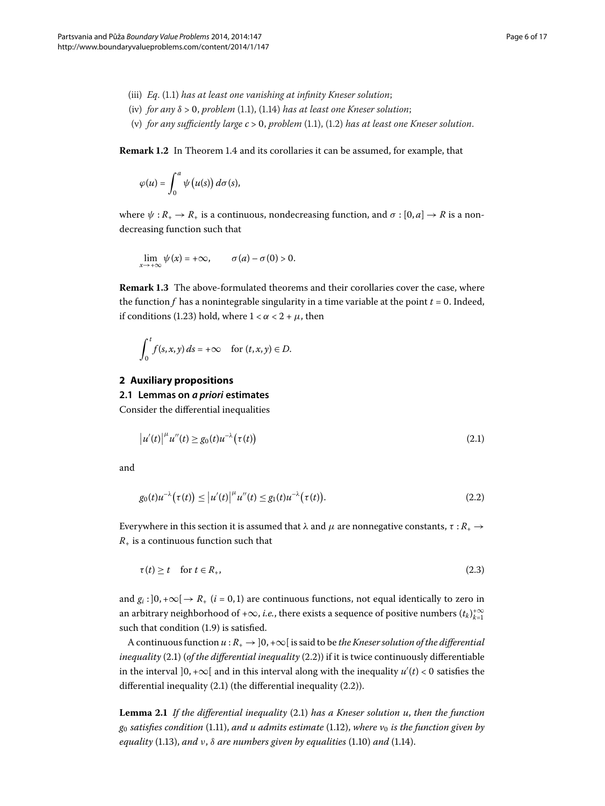- (iii) *Eq[.](#page-0-1)* (1.1) has at least one vanishing at infinity Kneser solution;
- (iv) *for any*  $\delta > 0$ , *problem* (1[.](#page-3-1)1), (1.14) *has at least one Kneser solution*;
- (v) for any sufficiently large  $c > 0$ , problem  $(1.1)$ ,  $(1.2)$  has at least one Kneser solution.

**Remark 1[.](#page-4-0)2** In Theorem 1.4 and its corollaries it can be assumed, for example, that

$$
\varphi(u)=\int_0^a \psi\big(u(s)\big)\,d\sigma(s),
$$

where  $\psi: R_+ \to R_+$  is a continuous, nondecreasing function, and  $\sigma: [0, a] \to R$  is a nondecreasing function such that

$$
\lim_{x\to+\infty}\psi(x)=+\infty, \qquad \sigma(a)-\sigma(0)>0.
$$

**Remark 1.3** The above-formulated theorems and their corollaries cover the case, where the function  $f$  has a nonintegrable singularity in a time variable at the point  $t = 0$ . Indeed, if conditions (1[.](#page-4-3)23) hold, where  $1 < \alpha < 2 + \mu$ , then

<span id="page-5-0"></span>
$$
\int_0^t f(s,x,y)\,ds = +\infty \quad \text{for } (t,x,y) \in D.
$$

#### **2 Auxiliary propositions**

**2.1 Lemmas on** *a priori* **estimates**

Consider the differential inequalities

<span id="page-5-1"></span>
$$
\left|u'(t)\right|^{\mu}u''(t) \ge g_0(t)u^{-\lambda}(\tau(t))\tag{2.1}
$$

and

<span id="page-5-2"></span>
$$
g_0(t)u^{-\lambda}(\tau(t)) \le |u'(t)|^{\mu}u''(t) \le g_1(t)u^{-\lambda}(\tau(t)).
$$
\n(2.2)

Everywhere in this section it is assumed that  $\lambda$  and  $\mu$  are nonnegative constants, *τ* : *R*<sub>+</sub> →  $R_{+}$  is a continuous function such that

$$
\tau(t) \ge t \quad \text{for } t \in R_+, \tag{2.3}
$$

and  $g_i$ :  $]0, +\infty[\rightarrow R_+(i=0,1)]$  are continuous functions, not equal identically to zero in an arbitrary neighborhood of + $\infty$ , *i.e.*, there exists a sequence of positive numbers  $(t_k)_{k=1}^{+\infty}$ such that condition  $(1.9)$  $(1.9)$  $(1.9)$  is satisfied.

<span id="page-5-3"></span>A continuous function  $u : R_+ \to ]0, +\infty[$  is said to be *the Kneser solution of the differential inequality* (2[.](#page-5-0)1) (*of the differential inequality* (2.2)) if it is twice continuously differentiable in the interval  $]0, +\infty[$  and in this interval along with the inequality  $u'(t) < 0$  satisfies the differential inequality  $(2.1)$  (the differential inequality  $(2.2)$ ).

**Lemma 2[.](#page-5-0)1** If the differential inequality (2.1) has a Kneser solution u, then the function  $g_0$  *satisfies condition* (1[.](#page-3-0)11), *and u admits estimate* (1.12), *where*  $v_0$  *is the function given by equality* (1[.](#page-3-1)13), *and*  $v$ ,  $\delta$  *are numbers given by equalities* (1.10) *and* (1.14).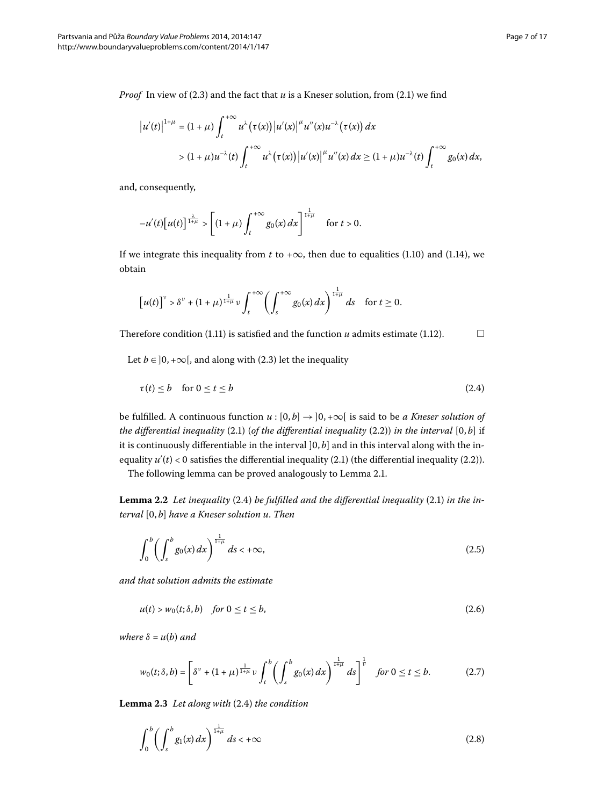$$
|u'(t)|^{1+\mu} = (1+\mu) \int_{t}^{+\infty} u^{\lambda}(\tau(x)) |u'(x)|^{\mu} u''(x) u^{-\lambda}(\tau(x)) dx
$$
  
>  $(1+\mu)u^{-\lambda}(t) \int_{t}^{+\infty} u^{\lambda}(\tau(x)) |u'(x)|^{\mu} u''(x) dx \ge (1+\mu)u^{-\lambda}(t) \int_{t}^{+\infty} g_0(x) dx,$ 

and, consequently,

$$
-u'(t)[u(t)]^{\frac{\lambda}{1+\mu}} > \left[ (1+\mu) \int_{t}^{+\infty} g_0(x) dx \right]^{\frac{1}{1+\mu}} \quad \text{for } t > 0.
$$

If we integrate this inequality from *t* to + $\infty$ , then due to equalities (1.10) and (1.14), we obtain

<span id="page-6-0"></span>
$$
\left[u(t)\right]^\nu > \delta^\nu + (1+\mu)^{\frac{1}{1+\mu}} \nu \int_t^{+\infty} \left(\int_s^{+\infty} g_0(x) \, dx\right)^{\frac{1}{1+\mu}} ds \quad \text{for } t \ge 0.
$$

Therefore condition (1[.](#page-3-6)11) is satisfied and the function  $u$  admits estimate (1.12).  $\Box$ 

Let  $b \in ]0, +\infty[$ , and along with (2.3) let the inequality

<span id="page-6-3"></span>
$$
\tau(t) \le b \quad \text{for } 0 \le t \le b \tag{2.4}
$$

<span id="page-6-4"></span>be fulfilled. A continuous function  $u : [0, b] \rightarrow [0, +\infty[$  is said to be *a Kneser solution of the differential inequality* (2[.](#page-5-0)1) (*of the differential inequality* (2.2)) *in the interval* [0,*b*] if it is continuously differentiable in the interval  $[0, b]$  and in this interval along with the inequality  $u'(t) < 0$  satisfies the differential inequality (2[.](#page-5-0)1) (the differential inequality (2.2)).

The following lemma can be proved analogously to Lemma 2[.](#page-5-3)1.

**Lemma 2.2** Let inequality (2.4) be fulfilled and the differential inequality (2.1) in the in $t$ erval  $[0, b]$  *have a Kneser solution u. Then* 

<span id="page-6-1"></span>
$$
\int_0^b \left( \int_s^b g_0(x) \, dx \right)^{\frac{1}{1+\mu}} \, ds < +\infty,\tag{2.5}
$$

*and that solution admits the estimate*

<span id="page-6-6"></span>
$$
u(t) > w_0(t; \delta, b) \quad \text{for } 0 \le t \le b,
$$
\n
$$
(2.6)
$$

<span id="page-6-5"></span>*where*  $\delta = u(b)$  *and* 

<span id="page-6-2"></span>
$$
w_0(t;\delta,b) = \left[\delta^{\nu} + (1+\mu)^{\frac{1}{1+\mu}} \nu \int_t^b \left(\int_s^b g_0(x) \, dx\right)^{\frac{1}{1+\mu}} ds\right]^{\frac{1}{\nu}} \quad \text{for } 0 \le t \le b. \tag{2.7}
$$

Lemma 2[.](#page-6-0)3 Let along with (2.4) the condition

$$
\int_0^b \left(\int_s^b g_1(x) dx\right)^{\frac{1}{1+\mu}} ds < +\infty \tag{2.8}
$$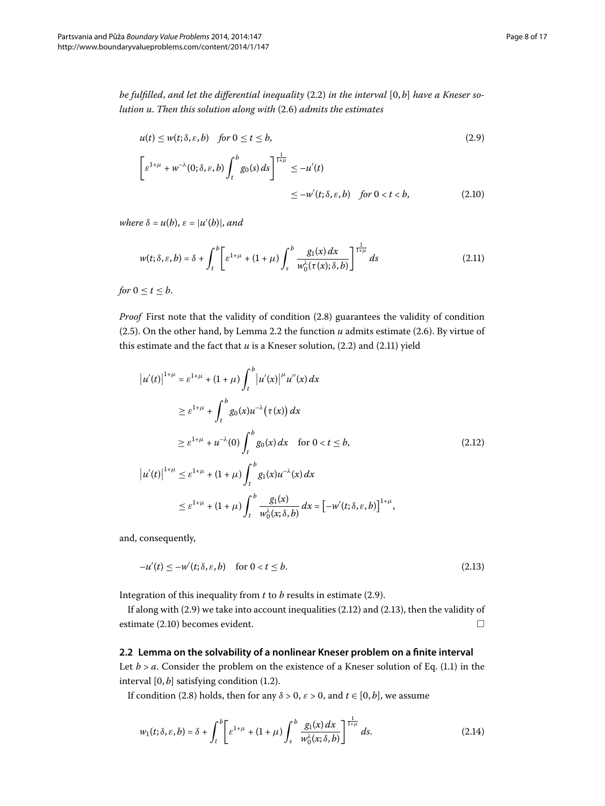*be fulfilled, and let the differential inequality* (2.2) *in the interval* [0, *b*] *have a Kneser so-lution u[.](#page-6-1) Then this solution along with* (2.6) *admits the estimates* 

<span id="page-7-4"></span><span id="page-7-1"></span><span id="page-7-0"></span>
$$
u(t) \le w(t; \delta, \varepsilon, b) \quad \text{for } 0 \le t \le b,
$$
\n
$$
\left[\varepsilon^{1+\mu} + w^{-\lambda}(0; \delta, \varepsilon, b) \int_{t}^{b} g_0(s) ds\right]_{t}^{\frac{1}{1+\mu}} \le -u'(t)
$$
\n
$$
\le -w'(t; \delta, \varepsilon, b) \quad \text{for } 0 < t < b,
$$
\n(2.10)

 $where \delta = u(b), \varepsilon = |u'(b)|, and$ 

$$
w(t;\delta,\varepsilon,b) = \delta + \int_{t}^{b} \left[ \varepsilon^{1+\mu} + (1+\mu) \int_{s}^{b} \frac{g_1(x) dx}{w_0^{\lambda}(\tau(x); \delta, b)} \right]^{\frac{1}{1+\mu}} ds \tag{2.11}
$$

*for*  $0 \le t \le b$ .

*Proof* First note that the validity of condition (2[.](#page-6-2)8) guarantees the validity of condition (2[.](#page-6-4)5). On the other hand, by Lemma 2.2 the function  $u$  admits estimate (2.6). By virtue of this estimate and the fact that  $u$  is a Kneser solution,  $(2.2)$  $(2.2)$  $(2.2)$  and  $(2.11)$  yield

<span id="page-7-2"></span>
$$
|u'(t)|^{1+\mu} = \varepsilon^{1+\mu} + (1+\mu) \int_{t}^{b} |u'(x)|^{\mu} u''(x) dx
$$
  
\n
$$
\geq \varepsilon^{1+\mu} + \int_{t}^{b} g_0(x) u^{-\lambda} (\tau(x)) dx
$$
  
\n
$$
\geq \varepsilon^{1+\mu} + u^{-\lambda}(0) \int_{t}^{b} g_0(x) dx \quad \text{for } 0 < t \leq b,
$$
  
\n
$$
|u'(t)|^{1+\mu} \leq \varepsilon^{1+\mu} + (1+\mu) \int_{t}^{b} g_1(x) u^{-\lambda}(x) dx
$$
  
\n
$$
\leq \varepsilon^{1+\mu} + (1+\mu) \int_{t}^{b} \frac{g_1(x)}{w_0^{\lambda}(x;\delta,b)} dx = [-w'(t;\delta,\varepsilon,b)]^{1+\mu},
$$

and, consequently,

<span id="page-7-5"></span><span id="page-7-3"></span>
$$
-u'(t) \le -w'(t;\delta,\varepsilon,b) \quad \text{for } 0 < t \le b. \tag{2.13}
$$

Integration of this inequality from  $t$  to  $b$  results in estimate (2[.](#page-7-1)9).

If along with  $(2.9)$  we take into account inequalities  $(2.12)$  and  $(2.13)$ , then the validity of estimate (2.10) becomes evident.  $\Box$ 

## **2.2 Lemma on the solvability of a nonlinear Kneser problem on a finite interval**

Let  $b > a$ [.](#page-0-1) Consider the problem on the existence of a Kneser solution of Eq. (1.1) in the interval  $[0, b]$  satisfying condition (1.2).

If condition (2.8) holds, then for any  $\delta > 0$ ,  $\varepsilon > 0$ , and  $t \in [0, b]$ , we assume

$$
w_1(t;\delta,\varepsilon,b) = \delta + \int_t^b \left[ \varepsilon^{1+\mu} + (1+\mu) \int_s^b \frac{g_1(x) \, dx}{w_0^{\lambda}(x;\delta,b)} \right]^{1\over 1+\mu} ds. \tag{2.14}
$$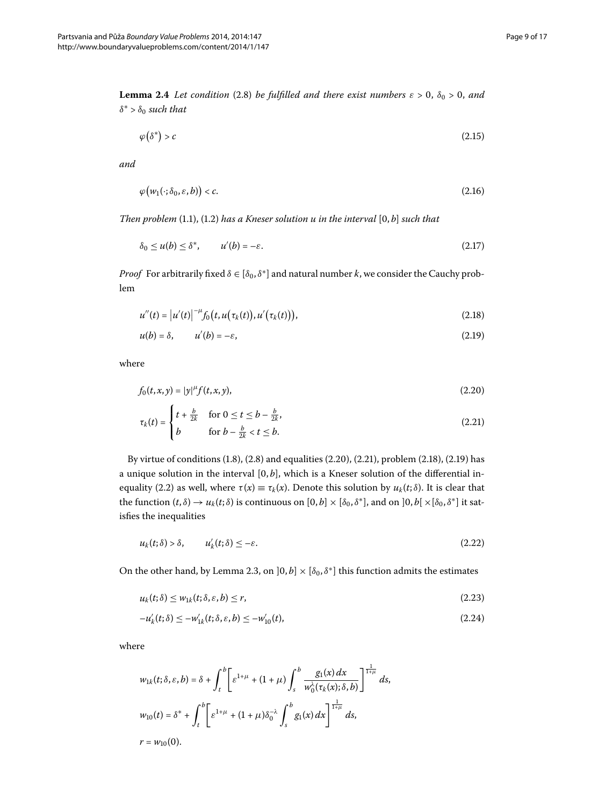<span id="page-8-10"></span>**Lemma 2.4** *Let condition* (2.8) *be fulfilled and there exist numbers*  $\varepsilon > 0$ ,  $\delta_0 > 0$ , and  $\delta^*$  >  $\delta_0$  *such that* 

<span id="page-8-9"></span><span id="page-8-7"></span><span id="page-8-4"></span>
$$
\varphi(\delta^*) > c \tag{2.15}
$$

*and*

$$
\varphi\big(w_1(\cdot;\delta_0,\varepsilon,b)\big)
$$

*Then problem*  $(1.1)$  $(1.1)$  $(1.1)$ ,  $(1.2)$  *has a Kneser solution u in the interval*  $[0, b]$  *such that* 

<span id="page-8-3"></span><span id="page-8-2"></span>
$$
\delta_0 \le u(b) \le \delta^*, \qquad u'(b) = -\varepsilon. \tag{2.17}
$$

*Proof* For arbitrarily fixed  $\delta \in [\delta_0, \delta^*]$  and natural number *k*, we consider the Cauchy problem

<span id="page-8-0"></span>
$$
u''(t) = |u'(t)|^{-\mu} f_0(t, u(\tau_k(t)), u'(\tau_k(t))),
$$
\n(2.18)

<span id="page-8-1"></span>
$$
u(b) = \delta, \qquad u'(b) = -\varepsilon,\tag{2.19}
$$

where

$$
f_0(t, x, y) = |y|^\mu f(t, x, y), \tag{2.20}
$$

<span id="page-8-5"></span>
$$
\tau_k(t) = \begin{cases} t + \frac{b}{2k} & \text{for } 0 \le t \le b - \frac{b}{2k}, \\ b & \text{for } b - \frac{b}{2k} < t \le b. \end{cases} \tag{2.21}
$$

By virtue of conditions  $(1.8)$  $(1.8)$  $(1.8)$ ,  $(2.8)$  and equalities  $(2.20)$ ,  $(2.21)$ , problem  $(2.18)$ ,  $(2.19)$  has a unique solution in the interval  $[0, b]$ , which is a Kneser solution of the differential inequality (2.2) as well, where  $\tau(x) \equiv \tau_k(x)$ . Denote this solution by  $u_k(t;\delta)$ . It is clear that the function  $(t, \delta) \to u_k(t; \delta)$  is continuous on  $[0, b] \times [\delta_0, \delta^*]$ , and on  $[0, b] \times [\delta_0, \delta^*]$  it satisfies the inequalities

<span id="page-8-8"></span><span id="page-8-6"></span>
$$
u_k(t;\delta) > \delta, \qquad u'_k(t;\delta) \leq -\varepsilon. \tag{2.22}
$$

On the other hand, by Lemma 2.3, on  $]0, b] \times [\delta_0, \delta^*]$  this function admits the estimates

$$
u_k(t;\delta) \leq w_{1k}(t;\delta,\varepsilon,b) \leq r,\tag{2.23}
$$

$$
-u'_{k}(t;\delta) \le -w'_{1k}(t;\delta,\varepsilon,b) \le -w'_{10}(t),\tag{2.24}
$$

where

$$
w_{1k}(t; \delta, \varepsilon, b) = \delta + \int_{t}^{b} \left[ \varepsilon^{1+\mu} + (1+\mu) \int_{s}^{b} \frac{g_{1}(x) dx}{w_{0}^{2}(\tau_{k}(x); \delta, b)} \right]^{\frac{1}{1+\mu}} ds,
$$
  

$$
w_{10}(t) = \delta^{*} + \int_{t}^{b} \left[ \varepsilon^{1+\mu} + (1+\mu) \delta_{0}^{-\lambda} \int_{s}^{b} g_{1}(x) dx \right]^{\frac{1}{1+\mu}} ds,
$$
  

$$
r = w_{10}(0).
$$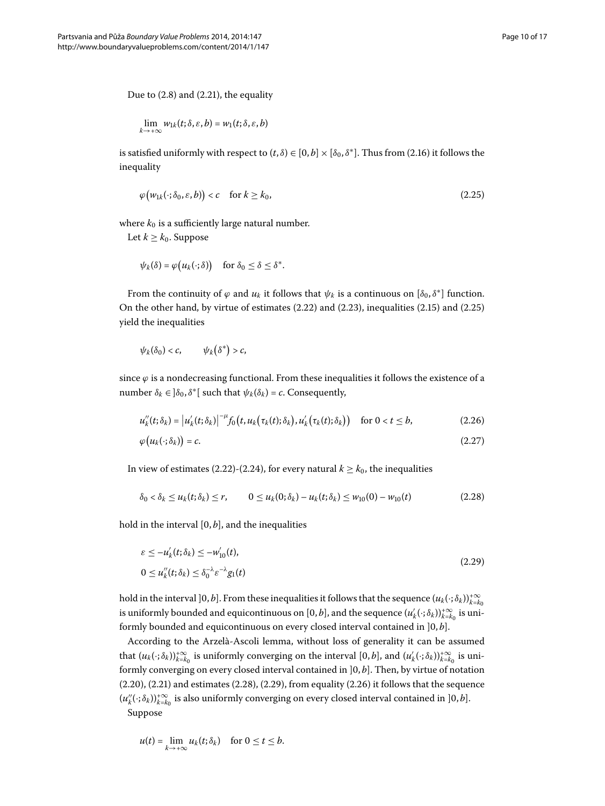Due to  $(2.8)$  $(2.8)$  $(2.8)$  and  $(2.21)$ , the equality

<span id="page-9-0"></span>
$$
\lim_{k\to+\infty}w_{1k}(t;\delta,\varepsilon,b)=w_1(t;\delta,\varepsilon,b)
$$

is satisfied uniformly with respect to  $(t, \delta) \in [0, b] \times [\delta_0, \delta^*]$ [.](#page-8-4) Thus from (2.16) it follows the inequality

$$
\varphi\big(w_{1k}(\cdot;\delta_0,\varepsilon,b)\big)
$$

where  $k_0$  is a sufficiently large natural number.

Let  $k \geq k_0$ . Suppose

$$
\psi_k(\delta) = \varphi\big(u_k(\cdot;\delta)\big) \quad \text{for } \delta_0 \leq \delta \leq \delta^*.
$$

From the continuity of  $\varphi$  and  $u_k$  it follows that  $\psi_k$  is a continuous on  $[\delta_0, \delta^*]$  function. On the other hand, by virtue of estimates  $(2.22)$  $(2.22)$  $(2.22)$  and  $(2.23)$ , inequalities  $(2.15)$  and  $(2.25)$ yield the inequalities

<span id="page-9-4"></span><span id="page-9-3"></span>
$$
\psi_k(\delta_0) < c, \qquad \psi_k(\delta^*) > c,
$$

since  $\varphi$  is a nondecreasing functional. From these inequalities it follows the existence of a number *δ*<sub>*k*</sub> ∈  $]\delta$ <sub>0</sub>,  $\delta$ <sup>\*</sup>[ such that  $\psi$ <sup>*k*</sup>( $\delta$ *k*) = *c*. Consequently,

<span id="page-9-1"></span>
$$
u''_k(t;\delta_k) = |u'_k(t;\delta_k)|^{-\mu} f_0(t,u_k(\tau_k(t);\delta_k),u'_k(\tau_k(t);\delta_k)) \quad \text{for } 0 < t \leq b,
$$
 (2.26)

<span id="page-9-2"></span>
$$
\varphi\big(u_k(\cdot;\delta_k)\big)=c.\tag{2.27}
$$

In view of estimates (2[.](#page-8-8)22)-(2.24), for every natural  $k \geq k_0$ , the inequalities

$$
\delta_0 < \delta_k \le u_k(t; \delta_k) \le r, \qquad 0 \le u_k(0; \delta_k) - u_k(t; \delta_k) \le w_{10}(0) - w_{10}(t) \tag{2.28}
$$

hold in the interval  $[0, b]$ , and the inequalities

$$
\varepsilon \le -u'_k(t;\delta_k) \le -w'_{10}(t),
$$
  
0 \le u''\_k(t;\delta\_k) \le \delta\_0^{-\lambda} \varepsilon^{-\lambda} g\_1(t) (2.29)

hold in the interval  $]0, b]$ . From these inequalities it follows that the sequence  $(u_k(\cdot;\delta_k))_{k=k_0}^{+\infty}$ is uniformly bounded and equicontinuous on  $[0,b]$ , and the sequence  $(u'_k(\cdot;\delta_k))_{k=k_0}^{+\infty}$  is uniformly bounded and equicontinuous on every closed interval contained in  $]0,b]$ .

According to the Arzelà-Ascoli lemma, without loss of generality it can be assumed that  $(u_k(\cdot;\delta_k))_{k=k_0}^{+\infty}$  is uniformly converging on the interval  $[0,b]$ , and  $(u'_k(\cdot;\delta_k))_{k=k_0}^{+\infty}$  is uniformly converging on every closed interval contained in  $]0, b]$ . Then, by virtue of notation  $(2.20)$  $(2.20)$  $(2.20)$ ,  $(2.21)$  and estimates  $(2.28)$ ,  $(2.29)$ , from equality  $(2.26)$  it follows that the sequence  $(u''_k(\cdot;\delta_k))_{k=k_0}^{+\infty}$  is also uniformly converging on every closed interval contained in ]0, *b*]. Suppose

$$
u(t) = \lim_{k \to +\infty} u_k(t; \delta_k) \quad \text{for } 0 \le t \le b.
$$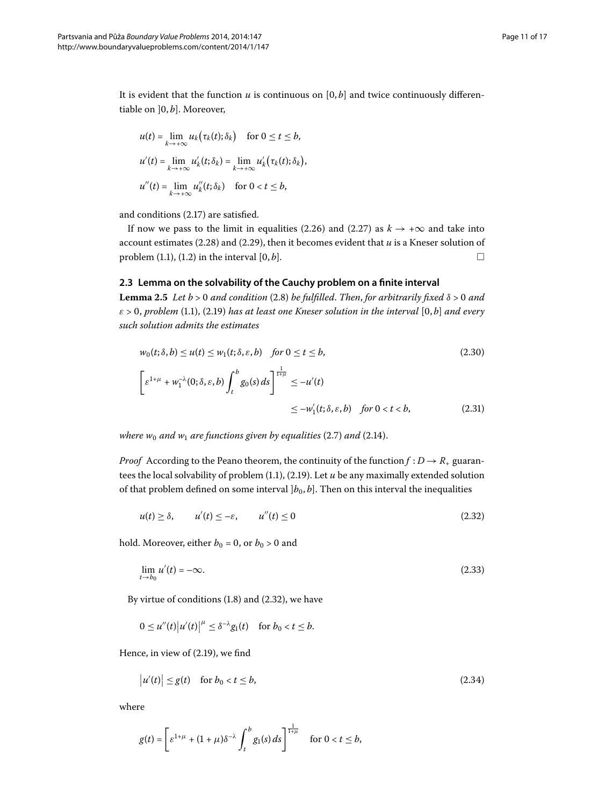It is evident that the function  $u$  is continuous on  $[0, b]$  and twice continuously differentiable on  $]0, b]$ . Moreover,

$$
u(t) = \lim_{k \to +\infty} u_k(\tau_k(t); \delta_k) \quad \text{for } 0 \le t \le b,
$$
  

$$
u'(t) = \lim_{k \to +\infty} u'_k(t; \delta_k) = \lim_{k \to +\infty} u'_k(\tau_k(t); \delta_k),
$$
  

$$
u''(t) = \lim_{k \to +\infty} u''_k(t; \delta_k) \quad \text{for } 0 < t \le b,
$$

<span id="page-10-5"></span>and conditions (2.17) are satisfied.

If now we pass to the limit in equalities (2.26) and (2.27) as  $k \rightarrow +\infty$  and take into account estimates (2.28) and (2.29), then it becomes evident that  $u$  is a Kneser solution of problem  $(1.1)$  $(1.1)$  $(1.1)$ ,  $(1.2)$  in the interval  $[0, b]$ .  $\Box$ 

# **2.3 Lemma on the solvability of the Cauchy problem on a finite interval**

**Lemma 2.5** Let  $b > 0$  and condition (2.8) be fulfilled. Then, for arbitrarily fixed  $\delta > 0$  and *ε* > , *problem* [\(.\)](#page-0-1), ([.](#page-8-3)) *has at least one Kneser solution in the interval* [, *b*] *and every such solution admits the estimates*

<span id="page-10-4"></span><span id="page-10-3"></span><span id="page-10-0"></span>
$$
w_0(t;\delta,b) \le u(t) \le w_1(t;\delta,\varepsilon,b) \quad \text{for } 0 \le t \le b,
$$
\n
$$
\left[\varepsilon^{1+\mu} + w_1^{-\lambda}(0;\delta,\varepsilon,b) \int_t^b g_0(s) \, ds\right]_{t=\mu} \le -u'(t)
$$
\n
$$
\le -w_1'(t;\delta,\varepsilon,b) \quad \text{for } 0 < t < b,
$$
\n
$$
(2.31)
$$

*where w<sub>0</sub> and w<sub>1</sub> are functions given by equalities* (2.7) *and* (2.14).

*Proof* According to the Peano theorem, the continuity of the function  $f : D \to R_+$  guarantees the local solvability of problem  $(1.1)$  $(1.1)$  $(1.1)$ ,  $(2.19)$ . Let  $u$  be any maximally extended solution of that problem defined on some interval  $[b_0, b]$ . Then on this interval the inequalities

<span id="page-10-2"></span>
$$
u(t) \ge \delta, \qquad u'(t) \le -\varepsilon, \qquad u''(t) \le 0 \tag{2.32}
$$

hold. Moreover, either  $b_0 = 0$ , or  $b_0 > 0$  and

<span id="page-10-1"></span>
$$
\lim_{t \to b_0} u'(t) = -\infty. \tag{2.33}
$$

By virtue of conditions  $(1.8)$  and  $(2.32)$ , we have

$$
0 \le u''(t) |u'(t)|^{\mu} \le \delta^{-\lambda} g_1(t) \quad \text{for } b_0 < t \le b.
$$

Hence, in view of  $(2.19)$ , we find

$$
|u'(t)| \le g(t) \quad \text{for } b_0 < t \le b,\tag{2.34}
$$

where

$$
g(t) = \left[\varepsilon^{1+\mu} + (1+\mu)\delta^{-\lambda}\int_t^b g_1(s) \, ds\right]^{\frac{1}{1+\mu}} \quad \text{for } 0 < t \leq b,
$$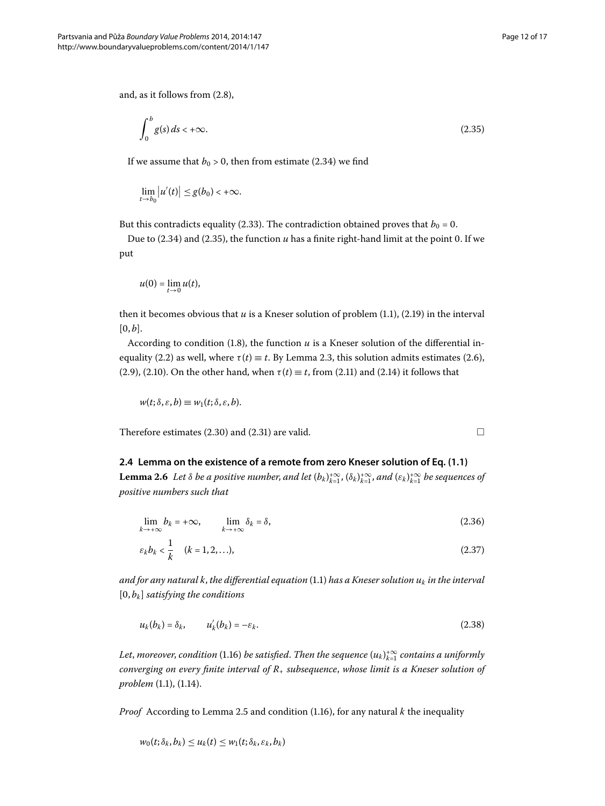and, as it follows from  $(2.8)$ ,

<span id="page-11-0"></span>
$$
\int_0^b g(s) \, ds < +\infty. \tag{2.35}
$$

If we assume that  $b_0 > 0$ , then from estimate (2.34) we find

$$
\lim_{t\to b_0}\big|u'(t)\big|\leq g(b_0)<+\infty.
$$

But this contradicts equality (2.33). The contradiction obtained proves that  $b_0 = 0$ .

Due to  $(2.34)$  $(2.34)$  $(2.34)$  and  $(2.35)$ , the function  $u$  has a finite right-hand limit at the point 0. If we put

$$
u(0) = \lim_{t \to 0} u(t),
$$

then it becomes obvious that  $u$  is a Kneser solution of problem  $(1.1)$ ,  $(2.19)$  in the interval  $[0, b]$ .

According to condition  $(1.8)$  $(1.8)$  $(1.8)$ , the function  $u$  is a Kneser solution of the differential in-equality (2[.](#page-6-5)2) as well, where  $\tau(t) \equiv t$ . By Lemma 2.3, this solution admits estimates (2.6), (2[.](#page-7-5)9), (2.10). On the other hand, when  $\tau(t) \equiv t$ , from (2.11) and (2.14) it follows that

<span id="page-11-4"></span><span id="page-11-2"></span><span id="page-11-1"></span>
$$
w(t; \delta, \varepsilon, b) \equiv w_1(t; \delta, \varepsilon, b).
$$

Therefore estimates  $(2.30)$  and  $(2.31)$  are valid.  $\Box$ 

# **2.4 Lemma on the existence of a remote from zero Kneser solution of Eq. [\(1.1\)](#page-0-1)**

**Lemma 2.6** Let  $\delta$  be a positive number, and let  $(b_k)_{k=1}^{+\infty}$ ,  $(\delta_k)_{k=1}^{+\infty}$ , and  $(\varepsilon_k)_{k=1}^{+\infty}$  be sequences of *positive numbers such that*

$$
\lim_{k \to +\infty} b_k = +\infty, \qquad \lim_{k \to +\infty} \delta_k = \delta,
$$
\n(2.36)

<span id="page-11-3"></span>
$$
\varepsilon_k b_k < \frac{1}{k} \quad (k = 1, 2, \ldots), \tag{2.37}
$$

*and for any natural k, the differential equation* (1.1) *has a Kneser solution*  $u_k$  *in the interval*  $[0, b_k]$  *satisfying the conditions* 

$$
u_k(b_k) = \delta_k, \qquad u'_k(b_k) = -\varepsilon_k. \tag{2.38}
$$

Let, moreover, condition (1.16) be satisfied. Then the sequence  $(u_k)_{k=1}^{+\infty}$  contains a uniformly *converging on every finite interval of R*<sup>+</sup> *subsequence*, *whose limit is a Kneser solution of problem* (1[.](#page-3-1)1), (1.14).

*Proof* According to Lemma 2[.](#page-3-3)5 and condition (1.16), for any natural  $k$  the inequality

$$
w_0(t; \delta_k, b_k) \leq u_k(t) \leq w_1(t; \delta_k, \varepsilon_k, b_k)
$$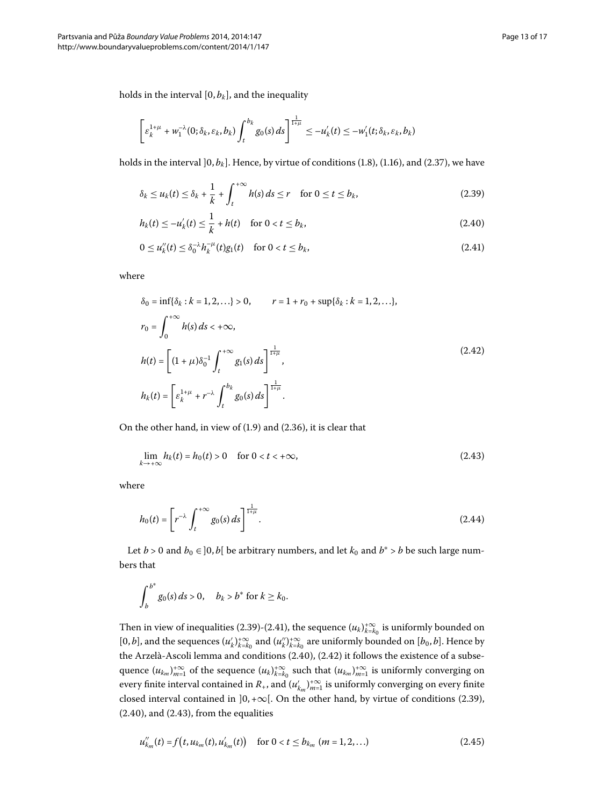<span id="page-12-2"></span><span id="page-12-0"></span>
$$
\left[\varepsilon_k^{1+\mu}+w_1^{-\lambda}(0;\delta_k,\varepsilon_k,b_k)\int_t^{b_k}g_0(s)\,ds\right]^{\frac{1}{1+\mu}}\leq -u'_k(t)\leq -w'_1(t;\delta_k,\varepsilon_k,b_k)
$$

holds in the interval  $\vert 0, b_k \vert$ . Hence, by virtue of conditions (1.8), (1.16), and (2.37), we have

<span id="page-12-1"></span>
$$
\delta_k \le u_k(t) \le \delta_k + \frac{1}{k} + \int_t^{+\infty} h(s) \, ds \le r \quad \text{for } 0 \le t \le b_k,\tag{2.39}
$$

$$
h_k(t) \le -u'_k(t) \le \frac{1}{k} + h(t) \quad \text{for } 0 < t \le b_k,\tag{2.40}
$$

<span id="page-12-3"></span>
$$
0 \le u_k''(t) \le \delta_0^{-\lambda} h_k^{-\mu}(t) g_1(t) \quad \text{for } 0 < t \le b_k,
$$
\n(2.41)

where

<span id="page-12-4"></span>
$$
\delta_0 = \inf \{ \delta_k : k = 1, 2, \ldots \} > 0, \qquad r = 1 + r_0 + \sup \{ \delta_k : k = 1, 2, \ldots \},
$$
  
\n
$$
r_0 = \int_0^{+\infty} h(s) \, ds < +\infty,
$$
  
\n
$$
h(t) = \left[ (1 + \mu) \delta_0^{-1} \int_t^{+\infty} g_1(s) \, ds \right]_0^{1} ,\,
$$
  
\n
$$
h_k(t) = \left[ \varepsilon_k^{1 + \mu} + r^{-\lambda} \int_t^{b_k} g_0(s) \, ds \right]_0^{1} .
$$
\n(2.42)

On the other hand, in view of  $(1.9)$  and  $(2.36)$ , it is clear that

<span id="page-12-6"></span>
$$
\lim_{k \to +\infty} h_k(t) = h_0(t) > 0 \quad \text{for } 0 < t < +\infty,\tag{2.43}
$$

where

$$
h_0(t) = \left[ r^{-\lambda} \int_t^{+\infty} g_0(s) \, ds \right]^{\frac{1}{1+\mu}}.
$$
\n(2.44)

Let *b* > 0 and *b*<sup>0</sup> ∈ ]0, *b*[ be arbitrary numbers, and let *k*<sup>0</sup> and *b*<sup>∗</sup> > *b* be such large numbers that

<span id="page-12-5"></span>
$$
\int_{b}^{b^*} g_0(s) \, ds > 0, \quad b_k > b^* \text{ for } k \geq k_0.
$$

Then in view of inequalities (2.39)-(2.41), the sequence  $(u_k)_{k=k_0}^{+\infty}$  is uniformly bounded on  $[0, b]$ , and the sequences  $(u'_k)_{k=k_0}^{+\infty}$  and  $(u''_k)_{k=k_0}^{+\infty}$  are uniformly bounded on  $[b_0, b]$ . Hence by the Arzelà-Ascoli lemma and conditions  $(2.40)$ ,  $(2.42)$  it follows the existence of a subsequence  $(u_{k_m})_{m=1}^{+\infty}$  of the sequence  $(u_k)_{k=k_0}^{+\infty}$  such that  $(u_{k_m})_{m=1}^{+\infty}$  is uniformly converging on every finite interval contained in  $R_+$ , and  $(u'_{k_m})_{m=1}^{+\infty}$  is uniformly converging on every finite closed interval contained in  $]0, +\infty[$ . On the other hand, by virtue of conditions (2.39),  $(2.40)$ , and  $(2.43)$ , from the equalities

$$
u''_{k_m}(t) = f(t, u_{k_m}(t), u'_{k_m}(t)) \quad \text{for } 0 < t \le b_{k_m} \ (m = 1, 2, ...)
$$
 (2.45)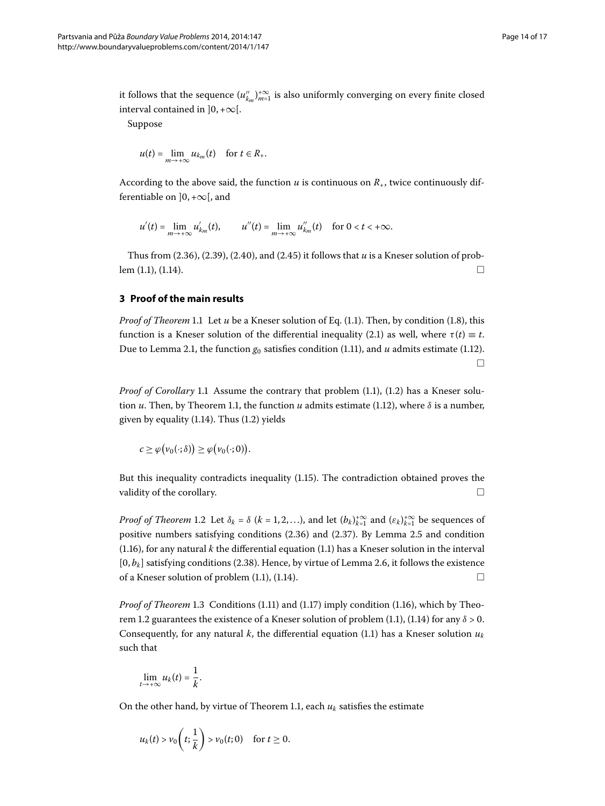it follows that the sequence  $(u''_{k_m})_{m=1}^{+\infty}$  is also uniformly converging on every finite closed interval contained in  $]0, +\infty[$ .

Suppose

$$
u(t) = \lim_{m \to +\infty} u_{k_m}(t) \quad \text{for } t \in R_+.
$$

According to the above said, the function  $u$  is continuous on  $R_+$ , twice continuously differentiable on  $]0, +\infty[$ , and

$$
u'(t) = \lim_{m \to +\infty} u'_{k_m}(t), \qquad u''(t) = \lim_{m \to +\infty} u''_{k_m}(t) \quad \text{for } 0 < t < +\infty.
$$

Thus from  $(2.36)$  $(2.36)$  $(2.36)$ ,  $(2.39)$ ,  $(2.40)$ , and  $(2.45)$  it follows that *u* is a Kneser solution of prob- $\lbrack \mathbf{em}(1.1), (1.14). \rbrack$  $\lbrack \mathbf{em}(1.1), (1.14). \rbrack$  $\lbrack \mathbf{em}(1.1), (1.14). \rbrack$ 

## **3 Proof of the main results**

*Proof of Theorem* 1[.](#page-3-4)1 Let *u* be a Kneser solution of Eq. (1.1). Then, by condition (1.8), this function is a Kneser solution of the differential inequality (2.1) as well, where  $\tau(t) \equiv t$ . Due to Lemma 2[.](#page-3-0)1, the function  $g_0$  satisfies condition (1.11), and  $u$  admits estimate (1.12).  $\Box$ 

*Proof of Corollary* 1[.](#page-3-2)1 Assume the contrary that problem (1.1), (1.2) has a Kneser solution *u*[.](#page-3-4) Then, by Theorem 1.1, the function *u* admits estimate (1.12), where  $\delta$  is a number, given by equality  $(1.14)$  $(1.14)$  $(1.14)$ . Thus  $(1.2)$  yields

$$
c \geq \varphi(\nu_0(\cdot;\delta)) \geq \varphi(\nu_0(\cdot;0)).
$$

But this inequality contradicts inequality (1.15). The contradiction obtained proves the validity of the corollary.  $\Box$ 

*Proof of Theorem* 1[.](#page-3-5)2 Let  $\delta_k = \delta$  ( $k = 1, 2, ...$ ), and let  $(b_k)_{k=1}^{+\infty}$  and  $(\varepsilon_k)_{k=1}^{+\infty}$  be sequences of positive numbers satisfying conditions  $(2.36)$  $(2.36)$  $(2.36)$  and  $(2.37)$ . By Lemma 2.5 and condition (1[.](#page-0-1)16), for any natural  $k$  the differential equation (1.1) has a Kneser solution in the interval  $[0, b_k]$  satisfying conditions (2[.](#page-11-4)38). Hence, by virtue of Lemma 2.6, it follows the existence of a Kneser solution of problem  $(1.1)$  $(1.1)$  $(1.1)$ ,  $(1.14)$ .

*Proof of Theorem* 1[.](#page-3-3)3 Conditions (1.11) and (1.17) imply condition (1.16), which by Theo-rem 1[.](#page-3-5)2 guarantees the existence of a Kneser solution of problem (1.1), (1.14) for any  $\delta > 0$ . Consequently, for any natural *k*, the differential equation (1[.](#page-0-1)1) has a Kneser solution  $u_k$ such that

$$
\lim_{t\to+\infty}u_k(t)=\frac{1}{k}.
$$

On the other hand, by virtue of Theorem 1.1, each  $u_k$  satisfies the estimate

$$
u_k(t) > v_0\left(t; \frac{1}{k}\right) > v_0(t; 0) \quad \text{for } t \ge 0.
$$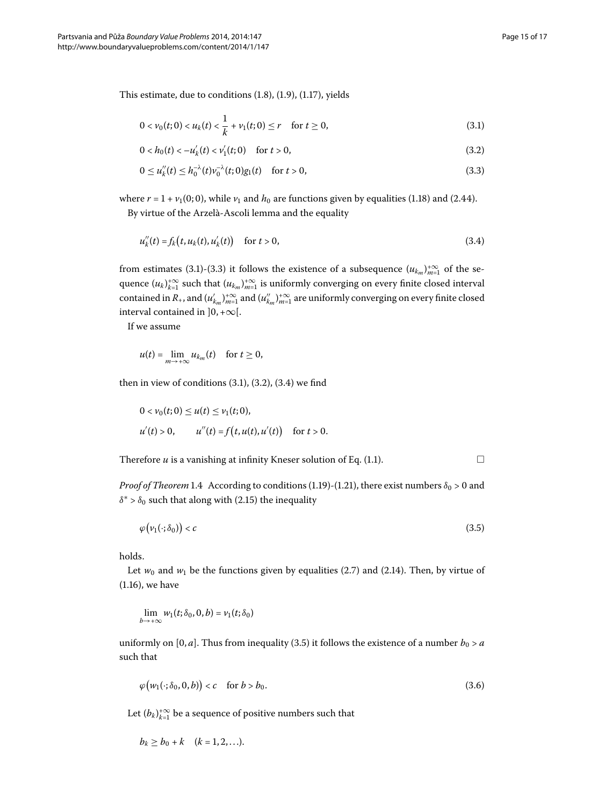This estimate, due to conditions  $(1.8)$  $(1.8)$  $(1.8)$ ,  $(1.9)$ ,  $(1.17)$ , yields

<span id="page-14-2"></span><span id="page-14-1"></span><span id="page-14-0"></span>
$$
0 < \nu_0(t; 0) < u_k(t) < \frac{1}{k} + \nu_1(t; 0) \le r \quad \text{for } t \ge 0,
$$
\n(3.1)

<span id="page-14-3"></span>
$$
0 < h_0(t) < -u'_k(t) < v'_1(t;0) \quad \text{for } t > 0,\tag{3.2}
$$

$$
0 \le u_k''(t) \le h_0^{-\lambda}(t)v_0^{-\lambda}(t;0)g_1(t) \quad \text{for } t > 0,
$$
\n(3.3)

where  $r = 1 + v_1(0; 0)$ , while  $v_1$  and  $h_0$  are functions given by equalities (1.18) and (2.44). By virtue of the Arzelà-Ascoli lemma and the equality

$$
u''_k(t) = f_k(t, u_k(t), u'_k(t)) \quad \text{for } t > 0,
$$
\n(3.4)

from estimates (3[.](#page-14-0)1)-(3.3) it follows the existence of a subsequence  $(u_{k_m})_{m=1}^{+\infty}$  of the sequence  $(u_k)_{k=1}^{+\infty}$  such that  $(u_{k_m})_{m=1}^{+\infty}$  is uniformly converging on every finite closed interval contained in  $R_+$ , and  $(u'_{k_m})_{m=1}^{+\infty}$  and  $(u''_{k_m})_{m=1}^{+\infty}$  are uniformly converging on every finite closed interval contained in  $]0, +\infty[$ .

If we assume

$$
u(t) = \lim_{m \to +\infty} u_{k_m}(t) \quad \text{for } t \ge 0,
$$

then in view of conditions  $(3.1)$  $(3.1)$  $(3.1)$ ,  $(3.2)$ ,  $(3.4)$  we find

<span id="page-14-4"></span>
$$
0 < v_0(t; 0) \le u(t) \le v_1(t; 0),
$$
\n
$$
u'(t) > 0, \qquad u''(t) = f(t, u(t), u'(t)) \quad \text{for } t > 0.
$$

Therefore  $u$  is a vanishing at infinity Kneser solution of Eq[.](#page-0-1)  $(1.1)$ .

*Proof of Theorem* 1[.](#page-4-0)4 According to conditions (1.19)-(1.21), there exist numbers  $\delta_0 > 0$  and  $\delta^*$  >  $\delta_0$  such that along with (2.15) the inequality

$$
\varphi\big(\nu_1(\cdot;\delta_0)\big) < c \tag{3.5}
$$

holds.

Let  $w_0$  and  $w_1$  be the functions given by equalities (2[.](#page-6-6)7) and (2.14). Then, by virtue of  $(1.16)$  $(1.16)$  $(1.16)$ , we have

<span id="page-14-5"></span>
$$
\lim_{b \to +\infty} w_1(t; \delta_0, 0, b) = v_1(t; \delta_0)
$$

uniformly on [0, *a*]. Thus from inequality (3.5) it follows the existence of a number  $b_0 > a$ such that

$$
\varphi\big(w_1(\cdot;\delta_0,0,b)\big)b_0.\tag{3.6}
$$

Let  $(b_k)_{k=1}^{+\infty}$  be a sequence of positive numbers such that

$$
b_k \geq b_0 + k \quad (k = 1, 2, \ldots).
$$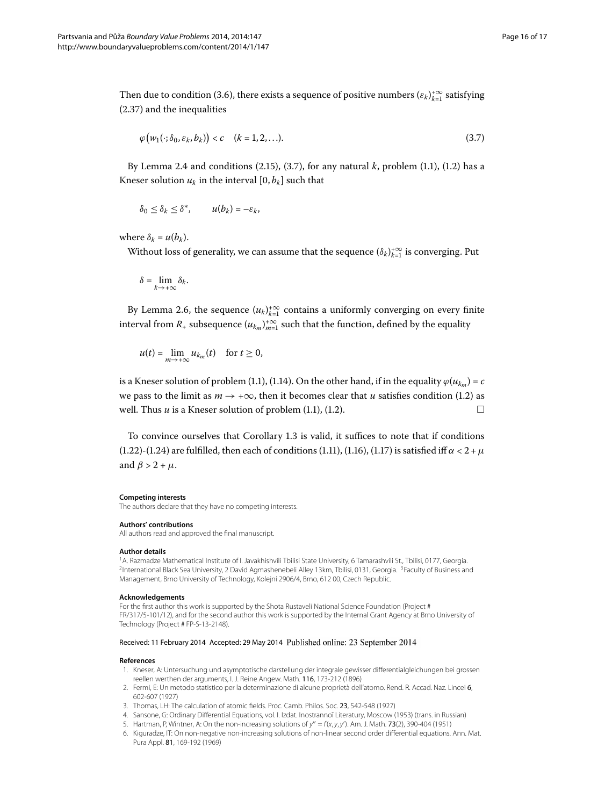Then due to condition (3.6), there exists a sequence of positive numbers  $(\varepsilon_k)_{k=1}^{+\infty}$  satisfying  $(2.37)$  and the inequalities

<span id="page-15-9"></span>
$$
\varphi\big(w_1(\cdot;\delta_0,\varepsilon_k,b_k)\big)
$$

By Lemma 2[.](#page-1-0)4 and conditions  $(2.15)$ ,  $(3.7)$ , for any natural *k*, problem  $(1.1)$ ,  $(1.2)$  has a Kneser solution  $u_k$  in the interval  $[0, b_k]$  such that

$$
\delta_0 \leq \delta_k \leq \delta^*, \qquad u(b_k) = -\varepsilon_k,
$$

where  $\delta_k = u(b_k)$ .

Without loss of generality, we can assume that the sequence  $(\delta_k)_{k=1}^{+\infty}$  is converging. Put

$$
\delta=\lim_{k\to+\infty}\delta_k.
$$

By Lemma 2.6, the sequence  $(u_k)_{k=1}^{+\infty}$  contains a uniformly converging on every finite interval from  $R_+$  subsequence  $(u_{k_m})_{m=1}^{+\infty}$  such that the function, defined by the equality

$$
u(t) = \lim_{m \to +\infty} u_{k_m}(t) \quad \text{for } t \ge 0,
$$

is a Kneser solution of problem (1.1), (1.14). On the other hand, if in the equality  $\varphi(u_{km}) = c$ we pass to the limit as  $m \rightarrow +\infty$ , then it becomes clear that *u* satisfies condition (1[.](#page-1-0)2) as well[.](#page-0-1) Thus  $u$  is a Kneser solution of problem  $(1.1)$ ,  $(1.2)$ .

<span id="page-15-0"></span>To convince ourselves that Corollary 1[.](#page-4-6)3 is valid, it suffices to note that if conditions (1[.](#page-4-1)22)-(1.24) are fulfilled, then each of conditions (1.11), (1.16), (1.17) is satisfied iff  $\alpha < 2 + \mu$ and  $\beta > 2 + \mu$ .

#### <span id="page-15-2"></span><span id="page-15-1"></span>**Competing interests**

The authors declare that they have no competing interests.

#### **Authors' contributions**

All authors read and approved the final manuscript.

#### **Author details**

<span id="page-15-3"></span>1A. Razmadze Mathematical Institute of I. Javakhishvili Tbilisi State University, 6 Tamarashvili St., Tbilisi, 0177, Georgia. <sup>2</sup>International Black Sea University, 2 David Agmashenebeli Alley 13km, Tbilisi, 0131, Georgia. <sup>3</sup>Faculty of Business and Management, Brno University of Technology, Kolejní 2906/4, Brno, 612 00, Czech Republic.

#### <span id="page-15-4"></span>**Acknowledgements**

<span id="page-15-6"></span><span id="page-15-5"></span>For the first author this work is supported by the Shota Rustaveli National Science Foundation (Project # FR/317/5-101/12), and for the second author this work is supported by the Internal Grant Agency at Brno University of Technology (Project # FP-S-13-2148).

#### <span id="page-15-8"></span><span id="page-15-7"></span>Received: 11 February 2014 Accepted: 29 May 2014 Published online: 23 September 2014

#### **References**

- 1. Kneser, A: Untersuchung und asymptotische darstellung der integrale gewisser differentialgleichungen bei grossen reellen werthen der arguments, I. J. Reine Angew. Math. 116, 173-212 (1896)
- 2. Fermi, E: Un metodo statistico per la determinazione di alcune proprietà dell'atomo. Rend. R. Accad. Naz. Lincei 6, 602-607 (1927)
- 3. Thomas, LH: The calculation of atomic fields. Proc. Camb. Philos. Soc. 23, 542-548 (1927)
- 4. Sansone, G: Ordinary Differential Equations, vol. I. Izdat. Inostrannoĭ Literatury, Moscow (1953) (trans. in Russian)
- 5. Hartman, P, Wintner, A: On the non-increasing solutions of  $y'' = f(x, y, y')$ . Am. J. Math. **73**(2), 390-404 (1951)
- 6. Kiguradze, IT: On non-negative non-increasing solutions of non-linear second order differential equations. Ann. Mat. Pura Appl. 81, 169-192 (1969)